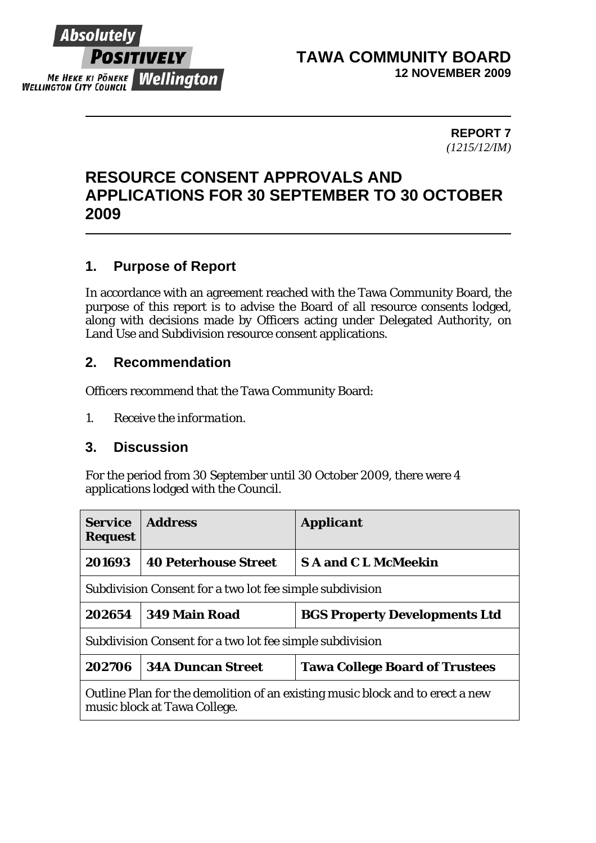

### **TAWA COMMUNITY BOARD 12 NOVEMBER 2009**

**REPORT 7**  *(1215/12/IM)* 

# **RESOURCE CONSENT APPROVALS AND APPLICATIONS FOR 30 SEPTEMBER TO 30 OCTOBER 2009**

# **1. Purpose of Report**

In accordance with an agreement reached with the Tawa Community Board, the purpose of this report is to advise the Board of all resource consents lodged, along with decisions made by Officers acting under Delegated Authority, on Land Use and Subdivision resource consent applications.

#### **2. Recommendation**

Officers recommend that the Tawa Community Board:

*1. Receive the information.* 

#### **3. Discussion**

For the period from 30 September until 30 October 2009, there were 4 applications lodged with the Council.

| <b>Service</b><br><b>Request</b>                                                                              | <b>Address</b>              | <b>Applicant</b>                      |  |  |
|---------------------------------------------------------------------------------------------------------------|-----------------------------|---------------------------------------|--|--|
| 201693                                                                                                        | <b>40 Peterhouse Street</b> | <b>SA and CL McMeekin</b>             |  |  |
| Subdivision Consent for a two lot fee simple subdivision                                                      |                             |                                       |  |  |
| 202654                                                                                                        | 349 Main Road               | <b>BGS Property Developments Ltd</b>  |  |  |
| Subdivision Consent for a two lot fee simple subdivision                                                      |                             |                                       |  |  |
| 202706                                                                                                        | <b>34A Duncan Street</b>    | <b>Tawa College Board of Trustees</b> |  |  |
| Outline Plan for the demolition of an existing music block and to erect a new<br>music block at Tawa College. |                             |                                       |  |  |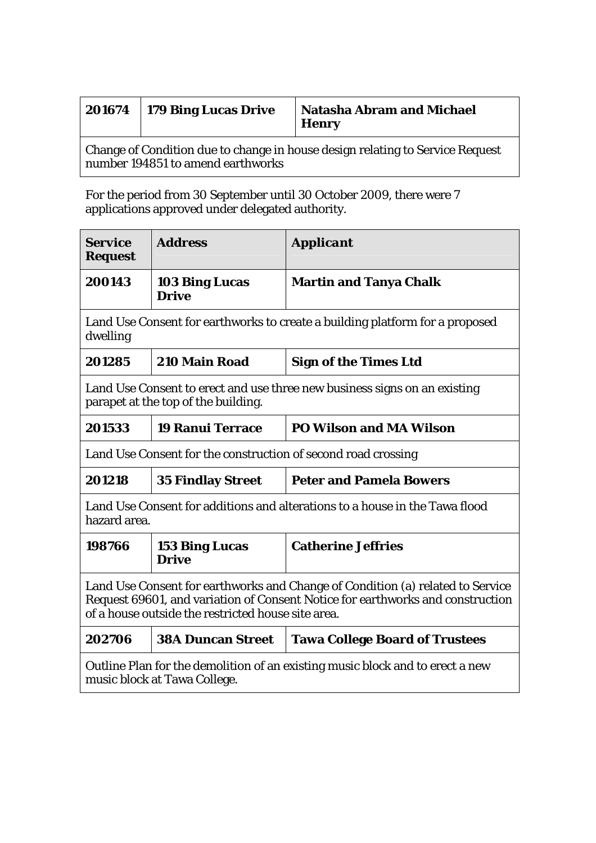|                                                                                                                    | $201674$   179 Bing Lucas Drive | <b>Natasha Abram and Michael</b><br><b>Henry</b> |  |  |
|--------------------------------------------------------------------------------------------------------------------|---------------------------------|--------------------------------------------------|--|--|
| Change of Condition due to change in house design relating to Service Request<br>number 194851 to amend earthworks |                                 |                                                  |  |  |

For the period from 30 September until 30 October 2009, there were 7 applications approved under delegated authority.

| <b>Service</b><br><b>Request</b>                                                                                                                                                                                       | <b>Address</b>                        | <b>Applicant</b>                      |  |  |
|------------------------------------------------------------------------------------------------------------------------------------------------------------------------------------------------------------------------|---------------------------------------|---------------------------------------|--|--|
| 200143                                                                                                                                                                                                                 | <b>103 Bing Lucas</b><br><b>Drive</b> | <b>Martin and Tanya Chalk</b>         |  |  |
| Land Use Consent for earthworks to create a building platform for a proposed<br>dwelling                                                                                                                               |                                       |                                       |  |  |
| 201285                                                                                                                                                                                                                 | 210 Main Road                         | <b>Sign of the Times Ltd</b>          |  |  |
| Land Use Consent to erect and use three new business signs on an existing<br>parapet at the top of the building.                                                                                                       |                                       |                                       |  |  |
| 201533                                                                                                                                                                                                                 | <b>19 Ranui Terrace</b>               | <b>PO Wilson and MA Wilson</b>        |  |  |
| Land Use Consent for the construction of second road crossing                                                                                                                                                          |                                       |                                       |  |  |
| 201218                                                                                                                                                                                                                 | <b>35 Findlay Street</b>              | <b>Peter and Pamela Bowers</b>        |  |  |
| Land Use Consent for additions and alterations to a house in the Tawa flood<br>hazard area.                                                                                                                            |                                       |                                       |  |  |
| 198766                                                                                                                                                                                                                 | <b>153 Bing Lucas</b><br><b>Drive</b> | <b>Catherine Jeffries</b>             |  |  |
| Land Use Consent for earthworks and Change of Condition (a) related to Service<br>Request 69601, and variation of Consent Notice for earthworks and construction<br>of a house outside the restricted house site area. |                                       |                                       |  |  |
| 202706                                                                                                                                                                                                                 | <b>38A Duncan Street</b>              | <b>Tawa College Board of Trustees</b> |  |  |
| Outline Plan for the demolition of an existing music block and to erect a new<br>music block at Tawa College.                                                                                                          |                                       |                                       |  |  |